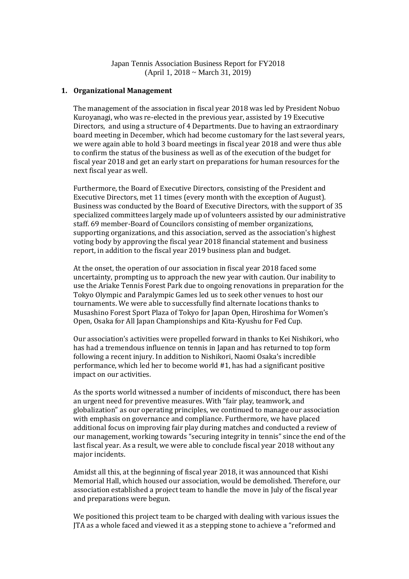Japan Tennis Association Business Report for FY2018 (April 1, 2018 ~ March 31, 2019)

## **1. Organizational Management**

The management of the association in fiscal year 2018 was led by President Nobuo Kuroyanagi, who was re-elected in the previous year, assisted by 19 Executive Directors, and using a structure of 4 Departments. Due to having an extraordinary board meeting in December, which had become customary for the last several years, we were again able to hold 3 board meetings in fiscal year 2018 and were thus able to confirm the status of the business as well as of the execution of the budget for fiscal year 2018 and get an early start on preparations for human resources for the next fiscal year as well.

Furthermore, the Board of Executive Directors, consisting of the President and Executive Directors, met 11 times (every month with the exception of August). Business was conducted by the Board of Executive Directors, with the support of 35 specialized committees largely made up of volunteers assisted by our administrative staff. 69 member-Board of Councilors consisting of member organizations, supporting organizations, and this association, served as the association's highest voting body by approving the fiscal year 2018 financial statement and business report, in addition to the fiscal year 2019 business plan and budget.

At the onset, the operation of our association in fiscal year 2018 faced some uncertainty, prompting us to approach the new year with caution. Our inability to use the Ariake Tennis Forest Park due to ongoing renovations in preparation for the Tokyo Olympic and Paralympic Games led us to seek other venues to host our tournaments. We were able to successfully find alternate locations thanks to Musashino Forest Sport Plaza of Tokyo for Japan Open, Hiroshima for Women's Open, Osaka for All Japan Championships and Kita-Kyushu for Fed Cup.

Our association's activities were propelled forward in thanks to Kei Nishikori, who has had a tremendous influence on tennis in Japan and has returned to top form following a recent injury. In addition to Nishikori, Naomi Osaka's incredible performance, which led her to become world #1, has had a significant positive impact on our activities.

As the sports world witnessed a number of incidents of misconduct, there has been an urgent need for preventive measures. With "fair play, teamwork, and globalization" as our operating principles, we continued to manage our association with emphasis on governance and compliance. Furthermore, we have placed additional focus on improving fair play during matches and conducted a review of our management, working towards "securing integrity in tennis" since the end of the last fiscal year. As a result, we were able to conclude fiscal year 2018 without any major incidents.

Amidst all this, at the beginning of fiscal year 2018, it was announced that Kishi Memorial Hall, which housed our association, would be demolished. Therefore, our association established a project team to handle the move in July of the fiscal year and preparations were begun.

We positioned this project team to be charged with dealing with various issues the JTA as a whole faced and viewed it as a stepping stone to achieve a "reformed and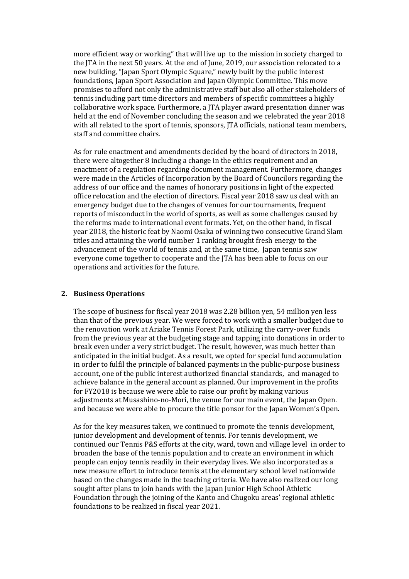more efficient way or working" that will live up to the mission in society charged to the JTA in the next 50 years. At the end of June, 2019, our association relocated to a new building, "Japan Sport Olympic Square," newly built by the public interest foundations, Japan Sport Association and Japan Olympic Committee. This move promises to afford not only the administrative staff but also all other stakeholders of tennis including part time directors and members of specific committees a highly collaborative work space. Furthermore, a JTA player award presentation dinner was held at the end of November concluding the season and we celebrated the year 2018 with all related to the sport of tennis, sponsors, JTA officials, national team members, staff and committee chairs.

As for rule enactment and amendments decided by the board of directors in 2018, there were altogether 8 including a change in the ethics requirement and an enactment of a regulation regarding document management. Furthermore, changes were made in the Articles of Incorporation by the Board of Councilors regarding the address of our office and the names of honorary positions in light of the expected office relocation and the election of directors. Fiscal year 2018 saw us deal with an emergency budget due to the changes of venues for our tournaments, frequent reports of misconduct in the world of sports, as well as some challenges caused by the reforms made to international event formats. Yet, on the other hand, in fiscal year 2018, the historic feat by Naomi Osaka of winning two consecutive Grand Slam titles and attaining the world number 1 ranking brought fresh energy to the advancement of the world of tennis and, at the same time, Japan tennis saw everyone come together to cooperate and the JTA has been able to focus on our operations and activities for the future.

## **2. Business Operations**

The scope of business for fiscal year 2018 was 2.28 billion yen, 54 million yen less than that of the previous year. We were forced to work with a smaller budget due to the renovation work at Ariake Tennis Forest Park, utilizing the carry-over funds from the previous year at the budgeting stage and tapping into donations in order to break even under a very strict budget. The result, however, was much better than anticipated in the initial budget. As a result, we opted for special fund accumulation in order to fulfil the principle of balanced payments in the public-purpose business account, one of the public interest authorized financial standards, and managed to achieve balance in the general account as planned. Our improvement in the profits for FY2018 is because we were able to raise our profit by making various adjustments at Musashino-no-Mori, the venue for our main event, the Japan Open. and because we were able to procure the title ponsor for the Japan Women's Open.

As for the key measures taken, we continued to promote the tennis development, junior development and development of tennis. For tennis development, we continued our Tennis P&S efforts at the city, ward, town and village level in order to broaden the base of the tennis population and to create an environment in which people can enjoy tennis readily in their everyday lives. We also incorporated as a new measure effort to introduce tennis at the elementary school level nationwide based on the changes made in the teaching criteria. We have also realized our long sought after plans to join hands with the Japan Junior High School Athletic Foundation through the joining of the Kanto and Chugoku areas' regional athletic foundations to be realized in fiscal year 2021.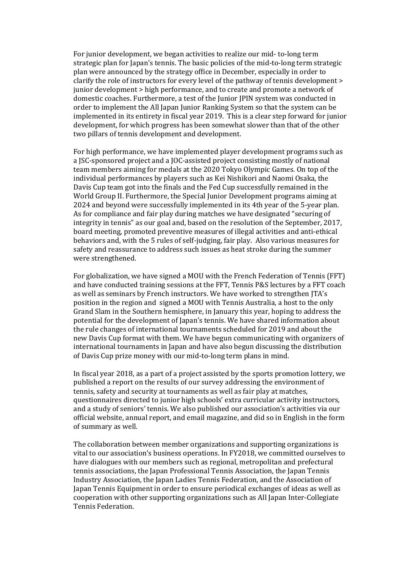For junior development, we began activities to realize our mid- to-long term strategic plan for Japan's tennis. The basic policies of the mid-to-long term strategic plan were announced by the strategy office in December, especially in order to clarify the role of instructors for every level of the pathway of tennis development > junior development > high performance, and to create and promote a network of domestic coaches. Furthermore, a test of the Junior JPIN system was conducted in order to implement the All Japan Junior Ranking System so that the system can be implemented in its entirety in fiscal year 2019. This is a clear step forward for junior development, for which progress has been somewhat slower than that of the other two pillars of tennis development and development.

For high performance, we have implemented player development programs such as a JSC-sponsored project and a JOC-assisted project consisting mostly of national team members aiming for medals at the 2020 Tokyo Olympic Games. On top of the individual performances by players such as Kei Nishikori and Naomi Osaka, the Davis Cup team got into the finals and the Fed Cup successfully remained in the World Group II. Furthermore, the Special Junior Development programs aiming at 2024 and beyond were successfully implemented in its 4th year of the 5-year plan. As for compliance and fair play during matches we have designated "securing of integrity in tennis" as our goal and, based on the resolution of the September, 2017, board meeting, promoted preventive measures of illegal activities and anti-ethical behaviors and, with the 5 rules of self-judging, fair play. Also various measures for safety and reassurance to address such issues as heat stroke during the summer were strengthened.

For globalization, we have signed a MOU with the French Federation of Tennis (FFT) and have conducted training sessions at the FFT, Tennis P&S lectures by a FFT coach as well as seminars by French instructors. We have worked to strengthen JTA's position in the region and signed a MOU with Tennis Australia, a host to the only Grand Slam in the Southern hemisphere, in January this year, hoping to address the potential for the development of Japan's tennis. We have shared information about the rule changes of international tournaments scheduled for 2019 and about the new Davis Cup format with them. We have begun communicating with organizers of international tournaments in Japan and have also begun discussing the distribution of Davis Cup prize money with our mid-to-long term plans in mind.

In fiscal year 2018, as a part of a project assisted by the sports promotion lottery, we published a report on the results of our survey addressing the environment of tennis, safety and security at tournaments as well as fair play at matches, questionnaires directed to junior high schools' extra curricular activity instructors, and a study of seniors' tennis. We also published our association's activities via our official website, annual report, and email magazine, and did so in English in the form of summary as well.

The collaboration between member organizations and supporting organizations is vital to our association's business operations. In FY2018, we committed ourselves to have dialogues with our members such as regional, metropolitan and prefectural tennis associations, the Japan Professional Tennis Association, the Japan Tennis Industry Association, the Japan Ladies Tennis Federation, and the Association of Japan Tennis Equipment in order to ensure periodical exchanges of ideas as well as cooperation with other supporting organizations such as All Japan Inter-Collegiate Tennis Federation.